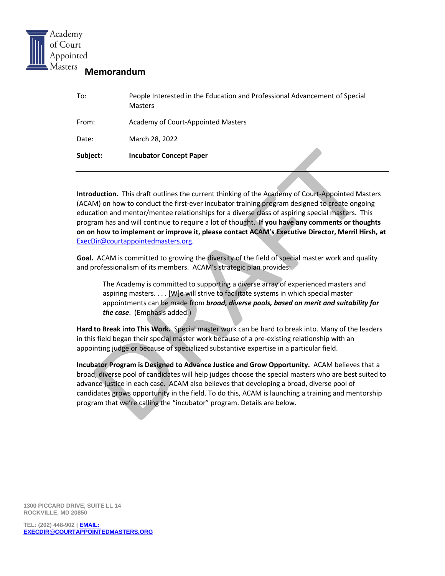

# **Memorandum**

| From:    | Academy of Court-Appointed Masters |
|----------|------------------------------------|
| Date:    | March 28, 2022                     |
| Subject: | <b>Incubator Concept Paper</b>     |

**Introduction.** This draft outlines the current thinking of the Academy of Court-Appointed Masters (ACAM) on how to conduct the first-ever incubator training program designed to create ongoing education and mentor/mentee relationships for a diverse class of aspiring special masters. This program has and will continue to require a lot of thought. **If you have any comments or thoughts on on how to implement or improve it, please contact ACAM's Executive Director, Merril Hirsh, at** [ExecDir@courtappointedmasters.org.](mailto:ExecDir@courtappointedmasters.org)

**Goal.** ACAM is committed to growing the diversity of the field of special master work and quality and professionalism of its members. ACAM's strategic plan provides:

The Academy is committed to supporting a diverse array of experienced masters and aspiring masters. . . . [W]e will strive to facilitate systems in which special master appointments can be made from *broad, diverse pools, based on merit and suitability for the case*. (Emphasis added.)

**Hard to Break into This Work.** Special master work can be hard to break into. Many of the leaders in this field began their special master work because of a pre-existing relationship with an appointing judge or because of specialized substantive expertise in a particular field.

**Incubator Program is Designed to Advance Justice and Grow Opportunity.** ACAM believes that a broad, diverse pool of candidates will help judges choose the special masters who are best suited to advance justice in each case. ACAM also believes that developing a broad, diverse pool of candidates grows opportunity in the field. To do this, ACAM is launching a training and mentorship program that we're calling the "incubator" program. Details are below.

**1300 PICCARD DRIVE, SUITE LL 14 ROCKVILLE, MD 20850**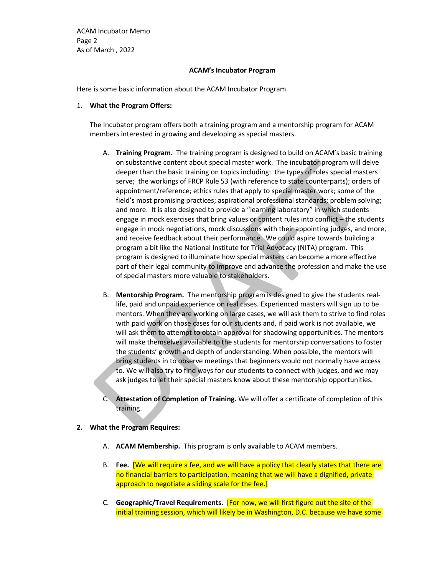ACAM Incubator Memo Page 2 As of March , 2022

### **ACAM's Incubator Program**

Here is some basic information about the ACAM Incubator Program.

#### 1. **What the Program Offers:**

The Incubator program offers both a training program and a mentorship program for ACAM members interested in growing and developing as special masters.

- A. **Training Program.** The training program is designed to build on ACAM's basic training on substantive content about special master work. The incubator program will delve deeper than the basic training on topics including: the types of roles special masters serve; the workings of FRCP Rule 53 (with reference to state counterparts); orders of appointment/reference; ethics rules that apply to special master work; some of the field's most promising practices; aspirational professional standards; problem solving; and more. It is also designed to provide a "learning laboratory" in which students engage in mock exercises that bring values or content rules into conflict – the students engage in mock negotiations, mock discussions with their appointing judges, and more, and receive feedback about their performance. We could aspire towards building a program a bit like the National Institute for Trial Advocacy (NITA) program. This program is designed to illuminate how special masters can become a more effective part of their legal community to improve and advance the profession and make the use of special masters more valuable to stakeholders.
- B. **Mentorship Program.** The mentorship program is designed to give the students reallife, paid and unpaid experience on real cases. Experienced masters will sign up to be mentors. When they are working on large cases, we will ask them to strive to find roles with paid work on those cases for our students and, if paid work is not available, we will ask them to attempt to obtain approval for shadowing opportunities. The mentors will make themselves available to the students for mentorship conversations to foster the students' growth and depth of understanding. When possible, the mentors will bring students in to observe meetings that beginners would not normally have access to. We will also try to find ways for our students to connect with judges, and we may ask judges to let their special masters know about these mentorship opportunities.
- C. **Attestation of Completion of Training.** We will offer a certificate of completion of this training.

## **2. What the Program Requires:**

- A. **ACAM Membership.** This program is only available to ACAM members.
- B. **Fee.** [We will require a fee, and we will have a policy that clearly states that there are no financial barriers to participation, meaning that we will have a dignified, private approach to negotiate a sliding scale for the fee.]
- C. **Geographic/Travel Requirements.** [For now, we will first figure out the site of the initial training session, which will likely be in Washington, D.C. because we have some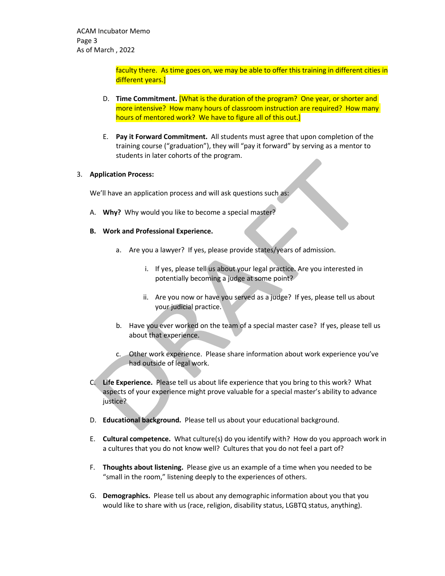faculty there. As time goes on, we may be able to offer this training in different cities in different years.]

- D. **Time Commitment.** [What is the duration of the program? One year, or shorter and more intensive? How many hours of classroom instruction are required? How many hours of mentored work? We have to figure all of this out.]
- E. **Pay it Forward Commitment.** All students must agree that upon completion of the training course ("graduation"), they will "pay it forward" by serving as a mentor to students in later cohorts of the program.

## 3. **Application Process:**

We'll have an application process and will ask questions such as:

- A. **Why?** Why would you like to become a special master?
- **B. Work and Professional Experience.**
	- a. Are you a lawyer? If yes, please provide states/years of admission.
		- i. If yes, please tell us about your legal practice. Are you interested in potentially becoming a judge at some point?
		- ii. Are you now or have you served as a judge? If yes, please tell us about your judicial practice.
	- b. Have you ever worked on the team of a special master case? If yes, please tell us about that experience.
	- c. Other work experience. Please share information about work experience you've had outside of legal work.
- C. **Life Experience.** Please tell us about life experience that you bring to this work? What aspects of your experience might prove valuable for a special master's ability to advance justice?
- D. **Educational background.** Please tell us about your educational background.
- E. **Cultural competence.** What culture(s) do you identify with? How do you approach work in a cultures that you do not know well? Cultures that you do not feel a part of?
- F. **Thoughts about listening.** Please give us an example of a time when you needed to be "small in the room," listening deeply to the experiences of others.
- G. **Demographics.** Please tell us about any demographic information about you that you would like to share with us (race, religion, disability status, LGBTQ status, anything).